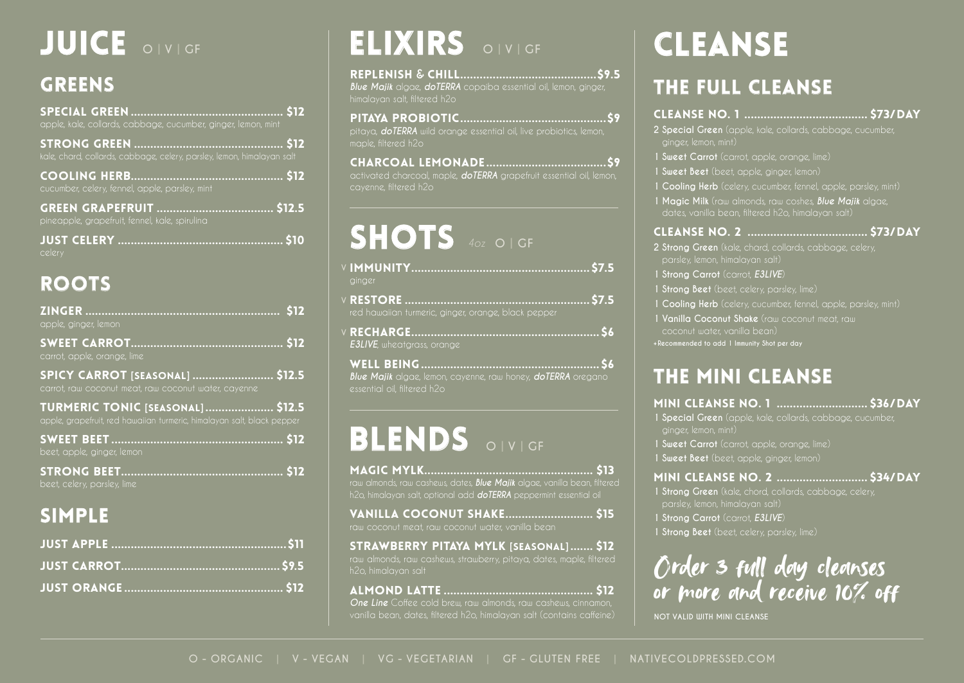**O - ORGANIC | V - VEGAN | VG - VEGETARIAN | GF - GLUTEN FREE | NATIVECOLDPRESSED.COM**

## GREENS

SPECIAL GREEN ............................................... \$12 apple, kale, collards, cabbage, cucumber, ginger, lemon, mint

STRONG GREEN .............................................. \$12 kale, chard, collards, cabbage, celery, parsley, lemon, himalayan salt

COOLING HERB............................................... \$12 cucumber, celery, fennel, apple, parsley, mint

GREEN GRAPEFRUIT .................................... \$12.5 pineapple, grapefruit, fennel, kale, spirulina

JUST CELERY ................................................... \$10 celery

## ROOTS

ZINGER ............................................................ \$12 apple, ginger, lemon

SWEET CARROT............................................... \$12 carrot, apple, orange, lime

SPICY CARROT **[**seasonal**]** ......................... \$12.5 carrot, raw coconut meat, raw coconut water, cayenne

TURMERIC TONIC **[**seasonal**]** ..................... \$12.5 apple, grapefruit, red hawaiian turmeric, himalayan salt, black pepper

SWEET BEET ..................................................... \$12 beet, apple, ginger, lemon

WELL BEING....................... *Blue Majik* algae, lemon, cayenne, raw honey, *doTERRA* oregano essential oil, filtered h2o

# BLENDS

STRONG BEET.................................................. \$12 beet, celery, parsley, lime

## SIMPLE

JUST APPLE ......................................................\$11 JUST CARROT................................................. \$9.5 JUST ORANGE ................................................. \$12



# JUICE **O | V | GF**

#### **O | GF**

| black pepper           |  |
|------------------------|--|
|                        |  |
|                        |  |
| honey do TFRRA oregono |  |

REPLENISH **&** CHILL..........................................\$9.5 *Blue Majik* algae, *doTERRA* copaiba essential oil, lemon, ginger, himalayan salt, filtered h2o

PITAYA PROBIOTIC.............................................\$9 pitaya, *doTERRA* wild orange essential oil, live probiotics, lemon, maple, filtered h2o

CHARCOAL LEMONADE .....................................\$9 activated charcoal, maple, *doTERRA* grapefruit essential oil, lemon, cayenne, filtered h2o

> MINI CLEANSE NO. 1 ............................ \$36/DAY **1 Special Green** (apple, kale, collards, cabbage, cucumber,

- IMMUNITY....................................................... \$7.5 **V** ginger
- RESTORE ......................................................... \$7.5 **V** red hawaiian turmeric, ginger, orange,
- RECHARGE.......................................................... \$6 **V** *E3LIVE*, wheatgrass, orange

# elixirs

# shots *4oz*



### **O | V | GF**

#### **O | V | GF**

# CLEANSE

MAGIC MYLK.................................................... \$13 raw almonds, raw cashews, dates, *Blue Majik* algae, vanilla bean, filtered h2o, himalayan salt, optional add *doTERRA* peppermint essential oil

VANILLA COCONUT SHAKE........................... \$15 raw coconut meat, raw coconut water, vanilla bean

STRAWBERRY PITAYA MYLK **[**seasonal**]** ....... \$12 raw almonds, raw cashews, strawberry, pitaya, dates, maple, filtered h2o, himalayan salt

ALMOND LATTE .............................................. \$12 *One Line* Coffee cold brew, raw almonds, raw cashews, cinnamon, vanilla bean, dates, filtered h2o, himalayan salt (contains caffeine)

## THE FULL CLEANSE

#### Cleanse No. 1 ...................................... \$73/day

**2 Special Green** (apple, kale, collards, cabbage, cucumber,

- ginger, lemon, mint)
- **1 Sweet Carrot** (carrot, apple, orange, lime)
- **1 Sweet Beet** (beet, apple, ginger, lemon)
- 
- 

**1 Cooling Herb** (celery, cucumber, fennel, apple, parsley, mint) **1 Magic Milk** (raw almonds, raw coshes, *Blue Majik* algae, dates, vanilla bean, filtered h2o, himalayan salt)

#### Cleanse No. 2 ..................................... \$73/day

**2 Strong Green** (kale, chard, collards, cabbage, celery,

- parsley, lemon, himalayan salt)
- **1 Strong Carrot** (carrot, *E3LIVE*)
- **1 Strong Beet** (beet, celery, parsley, lime)
- 
- coconut water, vanilla bean)
- **+Recommended to add 1 Immunity Shot per day**

**1 Cooling Herb** (celery, cucumber, fennel, apple, parsley, mint) **1 Vanilla Coconut Shake** (raw coconut meat, raw

## THE MINI CLEANSE

- ginger, lemon, mint)
- **1 Sweet Carrot** (carrot, apple, orange, lime)
- **1 Sweet Beet** (beet, apple, ginger, lemon)

#### MINI CLEANSE NO. 2 ............................ \$34/DAY

**1 Strong Green** (kale, chord, collards, cabbage, celery,



- parsley, lemon, himalayan salt)
- **1 Strong Carrot** (carrot, *E3LIVE*)
- **1 Strong Beet** (beet, celery, parsley, lime)



**NOT VALID WITH MINI CLEANSE**